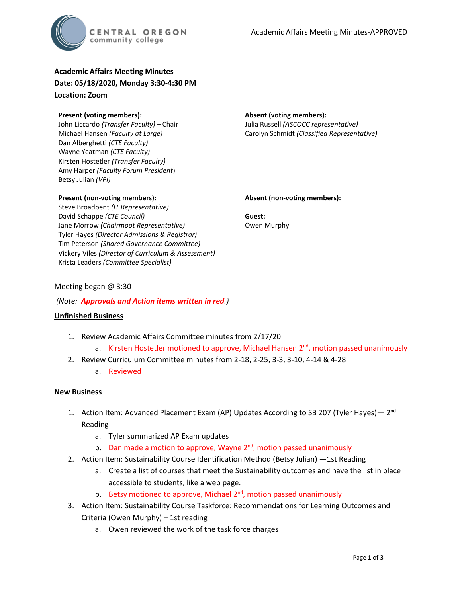

**Academic Affairs Meeting Minutes Date: 05/18/2020, Monday 3:30-4:30 PM Location: Zoom**

#### **Present (voting members):**

John Liccardo *(Transfer Faculty)* – Chair Michael Hansen *(Faculty at Large)* Dan Alberghetti *(CTE Faculty)* Wayne Yeatman *(CTE Faculty)* Kirsten Hostetler *(Transfer Faculty)* Amy Harper *(Faculty Forum President*) Betsy Julian *(VPI)*

## **Present (non-voting members):**

Steve Broadbent *(IT Representative)* David Schappe *(CTE Council)* Jane Morrow *(Chairmoot Representative)* Tyler Hayes *(Director Admissions & Registrar)* Tim Peterson *(Shared Governance Committee)* Vickery Viles *(Director of Curriculum & Assessment)* Krista Leaders *(Committee Specialist)*

#### **Absent (voting members):**

Julia Russell *(ASCOCC representative)* Carolyn Schmidt *(Classified Representative)*

#### **Absent (non-voting members):**

**Guest:** Owen Murphy

## Meeting began @ 3:30

# *(Note: Approvals and Action items written in red.)*

## **Unfinished Business**

- 1. Review Academic Affairs Committee minutes from 2/17/20
	- a. Kirsten Hostetler motioned to approve, Michael Hansen  $2<sup>nd</sup>$ , motion passed unanimously
- 2. Review Curriculum Committee minutes from 2-18, 2-25, 3-3, 3-10, 4-14 & 4-28
	- a. Reviewed

## **New Business**

- 1. Action Item: Advanced Placement Exam (AP) Updates According to SB 207 (Tyler Hayes)  $2<sup>nd</sup>$ Reading
	- a. Tyler summarized AP Exam updates
	- b. Dan made a motion to approve, Wayne  $2<sup>nd</sup>$ , motion passed unanimously
- 2. Action Item: Sustainability Course Identification Method (Betsy Julian) -1st Reading
	- a. Create a list of courses that meet the Sustainability outcomes and have the list in place accessible to students, like a web page.
	- b. Betsy motioned to approve, Michael  $2<sup>nd</sup>$ , motion passed unanimously
- 3. Action Item: Sustainability Course Taskforce: Recommendations for Learning Outcomes and Criteria (Owen Murphy) – 1st reading
	- a. Owen reviewed the work of the task force charges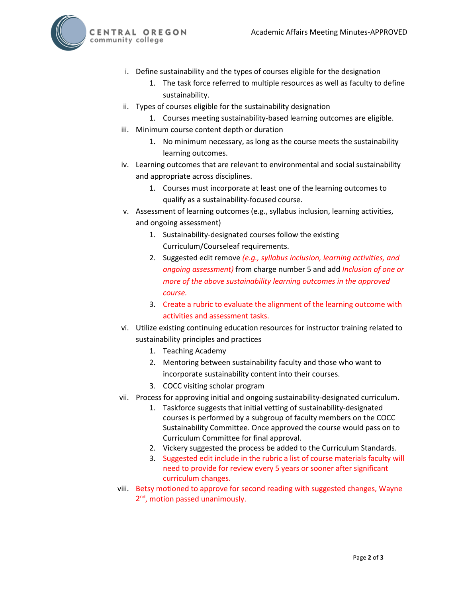CENTRAL OREGON community college



- i. Define sustainability and the types of courses eligible for the designation
	- 1. The task force referred to multiple resources as well as faculty to define sustainability.
- ii. Types of courses eligible for the sustainability designation
	- 1. Courses meeting sustainability-based learning outcomes are eligible.
- iii. Minimum course content depth or duration
	- 1. No minimum necessary, as long as the course meets the sustainability learning outcomes.
- iv. Learning outcomes that are relevant to environmental and social sustainability and appropriate across disciplines.
	- 1. Courses must incorporate at least one of the learning outcomes to qualify as a sustainability-focused course.
- v. Assessment of learning outcomes (e.g., syllabus inclusion, learning activities, and ongoing assessment)
	- 1. Sustainability-designated courses follow the existing Curriculum/Courseleaf requirements.
	- 2. Suggested edit remove *(e.g., syllabus inclusion, learning activities, and ongoing assessment)* from charge number 5 and add *Inclusion of one or more of the above sustainability learning outcomes in the approved course.*
	- 3. Create a rubric to evaluate the alignment of the learning outcome with activities and assessment tasks.
- vi. Utilize existing continuing education resources for instructor training related to sustainability principles and practices
	- 1. Teaching Academy
	- 2. Mentoring between sustainability faculty and those who want to incorporate sustainability content into their courses.
	- 3. COCC visiting scholar program
- vii. Process for approving initial and ongoing sustainability-designated curriculum.
	- 1. Taskforce suggests that initial vetting of sustainability-designated courses is performed by a subgroup of faculty members on the COCC Sustainability Committee. Once approved the course would pass on to Curriculum Committee for final approval.
	- 2. Vickery suggested the process be added to the Curriculum Standards.
	- 3. Suggested edit include in the rubric a list of course materials faculty will need to provide for review every 5 years or sooner after significant curriculum changes.
- viii. Betsy motioned to approve for second reading with suggested changes, Wayne 2<sup>nd</sup>, motion passed unanimously.